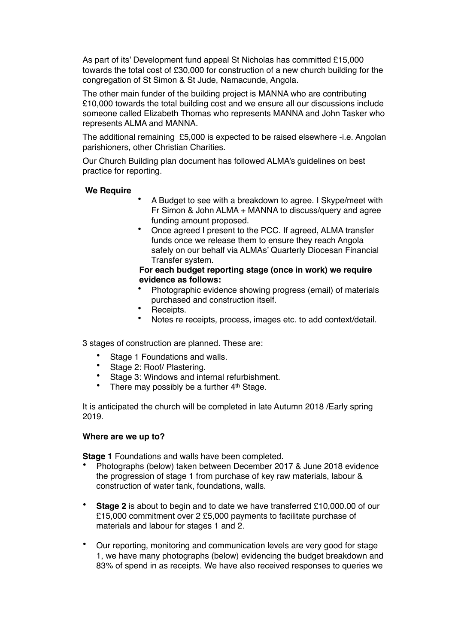As part of its' Development fund appeal St Nicholas has committed £15,000 towards the total cost of £30,000 for construction of a new church building for the congregation of St Simon & St Jude, Namacunde, Angola.

The other main funder of the building project is MANNA who are contributing £10,000 towards the total building cost and we ensure all our discussions include someone called Elizabeth Thomas who represents MANNA and John Tasker who represents ALMA and MANNA.

The additional remaining £5,000 is expected to be raised elsewhere -i.e. Angolan parishioners, other Christian Charities.

Our Church Building plan document has followed ALMA's guidelines on best practice for reporting.

## **We Require**

- A Budget to see with a breakdown to agree. I Skype/meet with Fr Simon & John ALMA + MANNA to discuss/query and agree funding amount proposed.
- Once agreed I present to the PCC. If agreed, ALMA transfer funds once we release them to ensure they reach Angola safely on our behalf via ALMAs' Quarterly Diocesan Financial Transfer system.

## **For each budget reporting stage (once in work) we require evidence as follows:**

- Photographic evidence showing progress (email) of materials purchased and construction itself.
- Receipts.
- Notes re receipts, process, images etc. to add context/detail.

3 stages of construction are planned. These are:

- Stage 1 Foundations and walls.
- Stage 2: Roof/ Plastering.
- Stage 3: Windows and internal refurbishment.
- There may possibly be a further 4<sup>th</sup> Stage.

It is anticipated the church will be completed in late Autumn 2018 /Early spring 2019.

## **Where are we up to?**

**Stage 1** Foundations and walls have been completed.

- Photographs (below) taken between December 2017 & June 2018 evidence the progression of stage 1 from purchase of key raw materials, labour & construction of water tank, foundations, walls.
- **Stage 2** is about to begin and to date we have transferred £10,000.00 of our £15,000 commitment over 2 £5,000 payments to facilitate purchase of materials and labour for stages 1 and 2.
- Our reporting, monitoring and communication levels are very good for stage 1, we have many photographs (below) evidencing the budget breakdown and 83% of spend in as receipts. We have also received responses to queries we